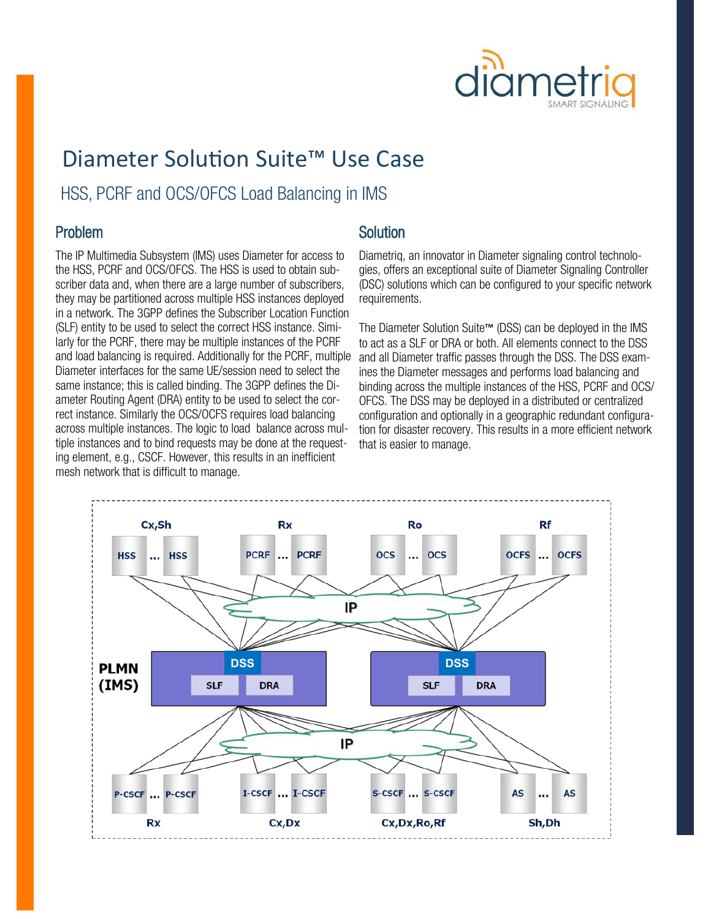

## Diameter Solution Suite™ Use Case

HSS, PCRF and OCS/OFCS Load Balancing in IMS

### Problem

The IP Multimedia Subsystem (IMS) uses Diameter for access to the HSS, PCRF and OCS/OFCS. The HSS is used to obtain subscriber data and, when there are a large number of subscribers, they may be partitioned across multiple HSS instances deployed in a network. The 3GPP defines the Subscriber Location Function (SLF) entity to be used to select the correct HSS instance. Similarly for the PCRF, there may be multiple instances of the PCRF and load balancing is required. Additionally for the PCRF, multiple Diameter interfaces for the same UE/session need to select the same instance; this is called binding. The 3GPP defines the Diameter Routing Agent (DRA) entity to be used to select the correct instance. Similarly the OCS/OCFS requires load balancing across multiple instances. The logic to load balance across multiple instances and to bind requests may be done at the requesting element, e.g., CSCF. However, this results in an inefficient mesh network that is difficult to manage.

### **Solution**

Diametriq, an innovator in Diameter signaling control technologies, offers an exceptional suite of Diameter Signaling Controller (DSC) solutions which can be configured to your specific network requirements.

The Diameter Solution Suite™ (DSS) can be deployed in the IMS to act as a SLF or DRA or both. All elements connect to the DSS and all Diameter traffic passes through the DSS. The DSS examines the Diameter messages and performs load balancing and binding across the multiple instances of the HSS, PCRF and OCS/ OFCS. The DSS may be deployed in a distributed or centralized configuration and optionally in a geographic redundant configuration for disaster recovery. This results in a more efficient network that is easier to manage.